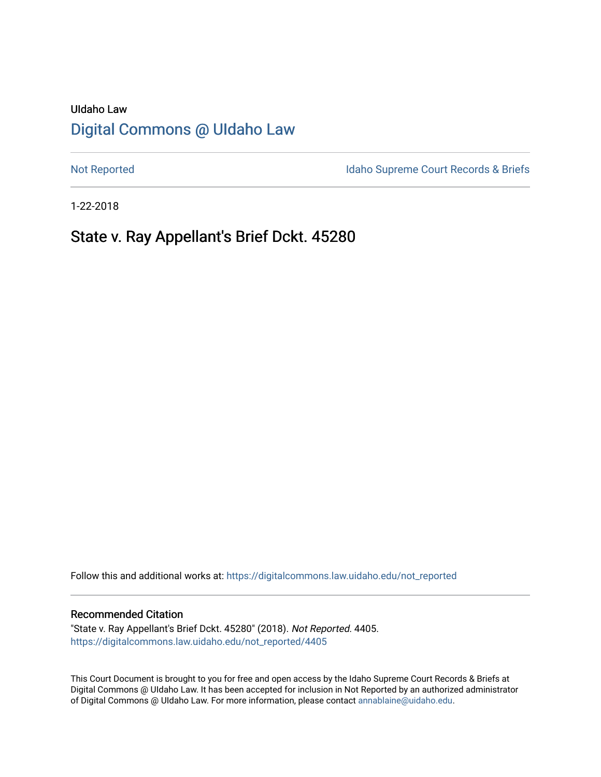# UIdaho Law [Digital Commons @ UIdaho Law](https://digitalcommons.law.uidaho.edu/)

[Not Reported](https://digitalcommons.law.uidaho.edu/not_reported) **Idaho Supreme Court Records & Briefs** 

1-22-2018

# State v. Ray Appellant's Brief Dckt. 45280

Follow this and additional works at: [https://digitalcommons.law.uidaho.edu/not\\_reported](https://digitalcommons.law.uidaho.edu/not_reported?utm_source=digitalcommons.law.uidaho.edu%2Fnot_reported%2F4405&utm_medium=PDF&utm_campaign=PDFCoverPages) 

#### Recommended Citation

"State v. Ray Appellant's Brief Dckt. 45280" (2018). Not Reported. 4405. [https://digitalcommons.law.uidaho.edu/not\\_reported/4405](https://digitalcommons.law.uidaho.edu/not_reported/4405?utm_source=digitalcommons.law.uidaho.edu%2Fnot_reported%2F4405&utm_medium=PDF&utm_campaign=PDFCoverPages)

This Court Document is brought to you for free and open access by the Idaho Supreme Court Records & Briefs at Digital Commons @ UIdaho Law. It has been accepted for inclusion in Not Reported by an authorized administrator of Digital Commons @ UIdaho Law. For more information, please contact [annablaine@uidaho.edu](mailto:annablaine@uidaho.edu).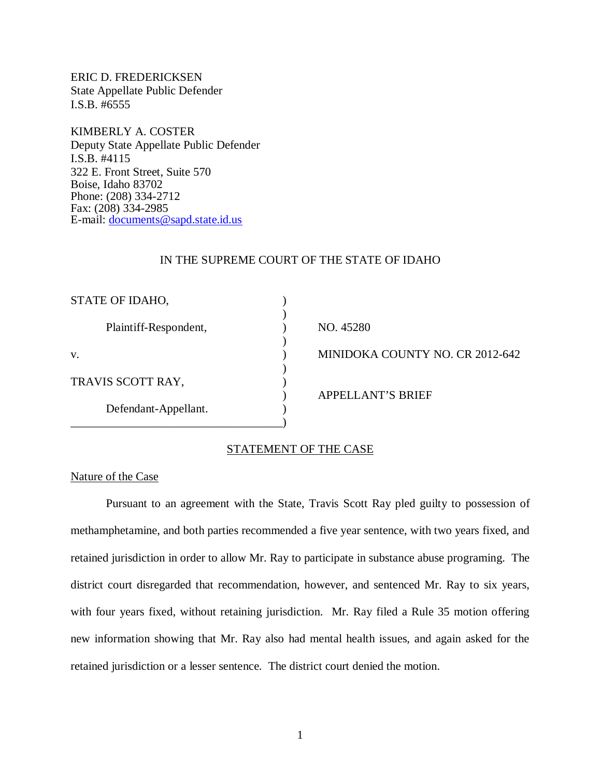ERIC D. FREDERICKSEN State Appellate Public Defender I.S.B. #6555

KIMBERLY A. COSTER Deputy State Appellate Public Defender I.S.B. #4115 322 E. Front Street, Suite 570 Boise, Idaho 83702 Phone: (208) 334-2712 Fax: (208) 334-2985 E-mail: [documents@sapd.state.id.us](mailto:documents@sapd.state.id.us)

### IN THE SUPREME COURT OF THE STATE OF IDAHO

| STATE OF IDAHO,       |                                 |
|-----------------------|---------------------------------|
| Plaintiff-Respondent, | NO. 45280                       |
| V.                    | MINIDOKA COUNTY NO. CR 2012-642 |
| TRAVIS SCOTT RAY,     | <b>APPELLANT'S BRIEF</b>        |
| Defendant-Appellant.  |                                 |

## STATEMENT OF THE CASE

### Nature of the Case

Pursuant to an agreement with the State, Travis Scott Ray pled guilty to possession of methamphetamine, and both parties recommended a five year sentence, with two years fixed, and retained jurisdiction in order to allow Mr. Ray to participate in substance abuse programing. The district court disregarded that recommendation, however, and sentenced Mr. Ray to six years, with four years fixed, without retaining jurisdiction. Mr. Ray filed a Rule 35 motion offering new information showing that Mr. Ray also had mental health issues, and again asked for the retained jurisdiction or a lesser sentence. The district court denied the motion.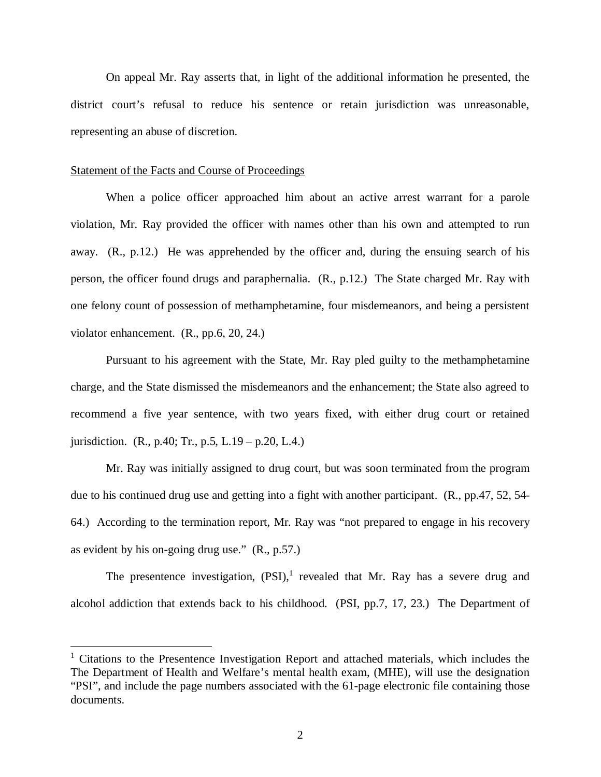On appeal Mr. Ray asserts that, in light of the additional information he presented, the district court's refusal to reduce his sentence or retain jurisdiction was unreasonable, representing an abuse of discretion.

#### Statement of the Facts and Course of Proceedings

When a police officer approached him about an active arrest warrant for a parole violation, Mr. Ray provided the officer with names other than his own and attempted to run away. (R., p.12.) He was apprehended by the officer and, during the ensuing search of his person, the officer found drugs and paraphernalia. (R., p.12.) The State charged Mr. Ray with one felony count of possession of methamphetamine, four misdemeanors, and being a persistent violator enhancement. (R., pp.6, 20, 24.)

Pursuant to his agreement with the State, Mr. Ray pled guilty to the methamphetamine charge, and the State dismissed the misdemeanors and the enhancement; the State also agreed to recommend a five year sentence, with two years fixed, with either drug court or retained jurisdiction. (R., p.40; Tr., p.5, L.19 – p.20, L.4.)

Mr. Ray was initially assigned to drug court, but was soon terminated from the program due to his continued drug use and getting into a fight with another participant. (R., pp.47, 52, 54- 64.) According to the termination report, Mr. Ray was "not prepared to engage in his recovery as evident by his on-going drug use." (R., p.57.)

The presentence investigation,  $(PSI)$ , revealed that Mr. Ray has a severe drug and alcohol addiction that extends back to his childhood. (PSI, pp.7, 17, 23.) The Department of

<span id="page-2-0"></span><sup>&</sup>lt;sup>1</sup> Citations to the Presentence Investigation Report and attached materials, which includes the The Department of Health and Welfare's mental health exam, (MHE), will use the designation "PSI", and include the page numbers associated with the 61-page electronic file containing those documents.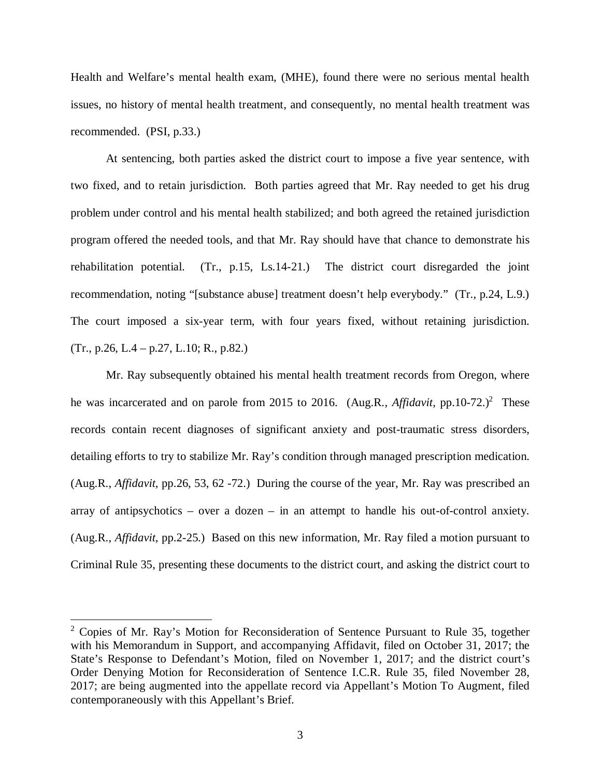Health and Welfare's mental health exam, (MHE), found there were no serious mental health issues, no history of mental health treatment, and consequently, no mental health treatment was recommended. (PSI, p.33.)

At sentencing, both parties asked the district court to impose a five year sentence, with two fixed, and to retain jurisdiction. Both parties agreed that Mr. Ray needed to get his drug problem under control and his mental health stabilized; and both agreed the retained jurisdiction program offered the needed tools, and that Mr. Ray should have that chance to demonstrate his rehabilitation potential. (Tr., p.15, Ls.14-21.) The district court disregarded the joint recommendation, noting "[substance abuse] treatment doesn't help everybody." (Tr., p.24, L.9.) The court imposed a six-year term, with four years fixed, without retaining jurisdiction. (Tr., p.26, L.4 – p.27, L.10; R., p.82.)

Mr. Ray subsequently obtained his mental health treatment records from Oregon, where he was incarcerated and on parole from [2](#page-3-0)015 to 2016. (Aug.R., *Affidavit*, pp.10-72.)<sup>2</sup> These records contain recent diagnoses of significant anxiety and post-traumatic stress disorders, detailing efforts to try to stabilize Mr. Ray's condition through managed prescription medication. (Aug.R., *Affidavit*, pp.26, 53, 62 -72.) During the course of the year, Mr. Ray was prescribed an array of antipsychotics – over a dozen – in an attempt to handle his out-of-control anxiety. (Aug.R., *Affidavit*, pp.2-25.) Based on this new information, Mr. Ray filed a motion pursuant to Criminal Rule 35, presenting these documents to the district court, and asking the district court to

<span id="page-3-0"></span><sup>&</sup>lt;sup>2</sup> Copies of Mr. Ray's Motion for Reconsideration of Sentence Pursuant to Rule 35, together with his Memorandum in Support, and accompanying Affidavit, filed on October 31, 2017; the State's Response to Defendant's Motion, filed on November 1, 2017; and the district court's Order Denying Motion for Reconsideration of Sentence I.C.R. Rule 35, filed November 28, 2017; are being augmented into the appellate record via Appellant's Motion To Augment, filed contemporaneously with this Appellant's Brief.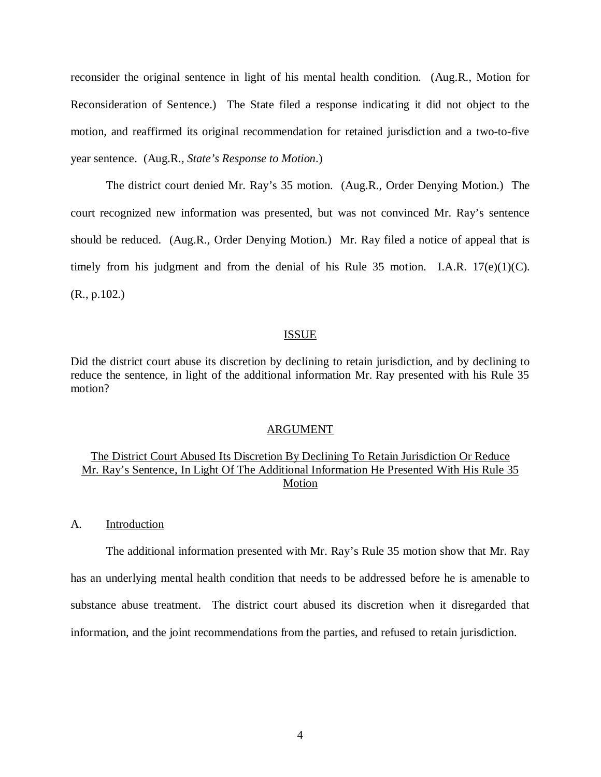reconsider the original sentence in light of his mental health condition. (Aug.R., Motion for Reconsideration of Sentence.) The State filed a response indicating it did not object to the motion, and reaffirmed its original recommendation for retained jurisdiction and a two-to-five year sentence. (Aug.R., *State's Response to Motion*.)

The district court denied Mr. Ray's 35 motion. (Aug.R., Order Denying Motion.) The court recognized new information was presented, but was not convinced Mr. Ray's sentence should be reduced. (Aug.R., Order Denying Motion.) Mr. Ray filed a notice of appeal that is timely from his judgment and from the denial of his Rule 35 motion. I.A.R.  $17(e)(1)(C)$ . (R., p.102.)

### ISSUE

Did the district court abuse its discretion by declining to retain jurisdiction, and by declining to reduce the sentence, in light of the additional information Mr. Ray presented with his Rule 35 motion?

#### ARGUMENT

## The District Court Abused Its Discretion By Declining To Retain Jurisdiction Or Reduce Mr. Ray's Sentence, In Light Of The Additional Information He Presented With His Rule 35 Motion

A. Introduction

The additional information presented with Mr. Ray's Rule 35 motion show that Mr. Ray has an underlying mental health condition that needs to be addressed before he is amenable to substance abuse treatment. The district court abused its discretion when it disregarded that information, and the joint recommendations from the parties, and refused to retain jurisdiction.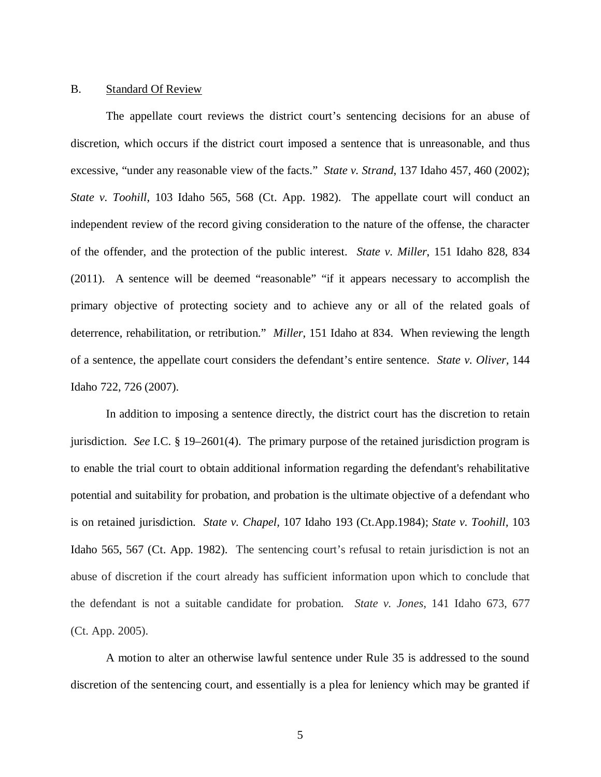#### B. Standard Of Review

The appellate court reviews the district court's sentencing decisions for an abuse of discretion, which occurs if the district court imposed a sentence that is unreasonable, and thus excessive, "under any reasonable view of the facts." *State v. Strand*, 137 Idaho 457, 460 (2002); *State v. Toohill*, 103 Idaho 565, 568 (Ct. App. 1982). The appellate court will conduct an independent review of the record giving consideration to the nature of the offense, the character of the offender, and the protection of the public interest. *State v. Miller*, 151 Idaho 828, 834 (2011). A sentence will be deemed "reasonable" "if it appears necessary to accomplish the primary objective of protecting society and to achieve any or all of the related goals of deterrence, rehabilitation, or retribution." *Miller*, 151 Idaho at 834. When reviewing the length of a sentence, the appellate court considers the defendant's entire sentence. *[State v. Oliver,](https://1.next.westlaw.com/Link/Document/FullText?findType=Y&serNum=2013702669&pubNum=4645&originatingDoc=If9289f334c1511e3b48bea39e86d4142&refType=RP&fi=co_pp_sp_4645_391&originationContext=document&transitionType=DocumentItem&contextData=(sc.Search)#co_pp_sp_4645_391)* 144 [Idaho 722, 726 \(2007\)](https://1.next.westlaw.com/Link/Document/FullText?findType=Y&serNum=2013702669&pubNum=4645&originatingDoc=If9289f334c1511e3b48bea39e86d4142&refType=RP&fi=co_pp_sp_4645_391&originationContext=document&transitionType=DocumentItem&contextData=(sc.Search)#co_pp_sp_4645_391).

In addition to imposing a sentence directly, the district court has the discretion to retain jurisdiction. *See* I.C. § 19–2601(4). The primary purpose of the retained jurisdiction program is to enable the trial court to obtain additional information regarding the defendant's rehabilitative potential and suitability for probation, and probation is the ultimate objective of a defendant who is on retained jurisdiction. *State v. Chapel,* [107 Idaho 193 \(Ct.App.1984\);](https://1.next.westlaw.com/Link/Document/FullText?findType=Y&serNum=1984141470&pubNum=661&originatingDoc=I84eb9b6fcaed11e3b86bd602cb8781fa&refType=RP&originationContext=document&transitionType=DocumentItem&contextData=(sc.Search)) *[State v. Toohill,](https://1.next.westlaw.com/Link/Document/FullText?findType=Y&serNum=1982139928&pubNum=661&originatingDoc=I84eb9b6fcaed11e3b86bd602cb8781fa&refType=RP&fi=co_pp_sp_661_709&originationContext=document&transitionType=DocumentItem&contextData=(sc.Search)#co_pp_sp_661_709)* 103 [Idaho 565, 567 \(Ct. App. 1982\).](https://1.next.westlaw.com/Link/Document/FullText?findType=Y&serNum=1982139928&pubNum=661&originatingDoc=I84eb9b6fcaed11e3b86bd602cb8781fa&refType=RP&fi=co_pp_sp_661_709&originationContext=document&transitionType=DocumentItem&contextData=(sc.Search)#co_pp_sp_661_709) The sentencing court's refusal to retain jurisdiction is not an abuse of discretion if the court already has sufficient information upon which to conclude that the defendant is not a suitable candidate for probation. *State v. Jones*, 141 Idaho 673, 677 (Ct. App. 2005).

A motion to alter an otherwise lawful sentence under Rule 35 is addressed to the sound discretion of the sentencing court, and essentially is a plea for leniency which may be granted if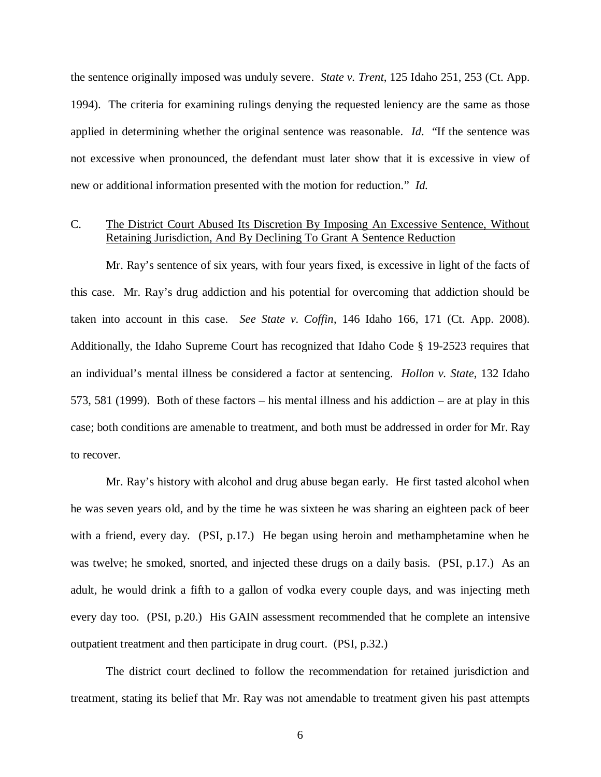the sentence originally imposed was unduly severe. *State v. Trent*, 125 Idaho 251, 253 (Ct. App. 1994). The criteria for examining rulings denying the requested leniency are the same as those applied in determining whether the original sentence was reasonable. *Id*. "If the sentence was not excessive when pronounced, the defendant must later show that it is excessive in view of new or additional information presented with the motion for reduction*.*" *Id.*

## C. The District Court Abused Its Discretion By Imposing An Excessive Sentence, Without Retaining Jurisdiction, And By Declining To Grant A Sentence Reduction

Mr. Ray's sentence of six years, with four years fixed, is excessive in light of the facts of this case. Mr. Ray's drug addiction and his potential for overcoming that addiction should be taken into account in this case. *See State v. Coffin*, 146 Idaho 166, 171 (Ct. App. 2008). Additionally, the Idaho Supreme Court has recognized that Idaho Code [§ 19-2523](http://www.westlaw.com/Find/default.wl?rs=kmfh4.8.0&vr=2.0&kmvr=2.6&FindType=L&DB=1000007&DocName=IDSTS19-2523) requires that an individual's mental illness be considered a factor at sentencing. *[Hollon v. State](http://www.westlaw.com/Find/default.wl?rs=kmfh4.8.0&vr=2.0&kmvr=2.6&FindType=Y&DB=0000431&serialnum=1999071874)*[, 132 Idaho](http://www.westlaw.com/Find/default.wl?rs=kmfh4.8.0&vr=2.0&kmvr=2.6&FindType=Y&DB=0000431&serialnum=1999071874) [573, 581 \(1999\).](http://www.westlaw.com/Find/default.wl?rs=kmfh4.8.0&vr=2.0&kmvr=2.6&FindType=Y&DB=0000431&serialnum=1999071874) Both of these factors – his mental illness and his addiction – are at play in this case; both conditions are amenable to treatment, and both must be addressed in order for Mr. Ray to recover.

Mr. Ray's history with alcohol and drug abuse began early. He first tasted alcohol when he was seven years old, and by the time he was sixteen he was sharing an eighteen pack of beer with a friend, every day. (PSI, p.17.) He began using heroin and methamphetamine when he was twelve; he smoked, snorted, and injected these drugs on a daily basis. (PSI, p.17.) As an adult, he would drink a fifth to a gallon of vodka every couple days, and was injecting meth every day too. (PSI, p.20.) His GAIN assessment recommended that he complete an intensive outpatient treatment and then participate in drug court. (PSI, p.32.)

The district court declined to follow the recommendation for retained jurisdiction and treatment, stating its belief that Mr. Ray was not amendable to treatment given his past attempts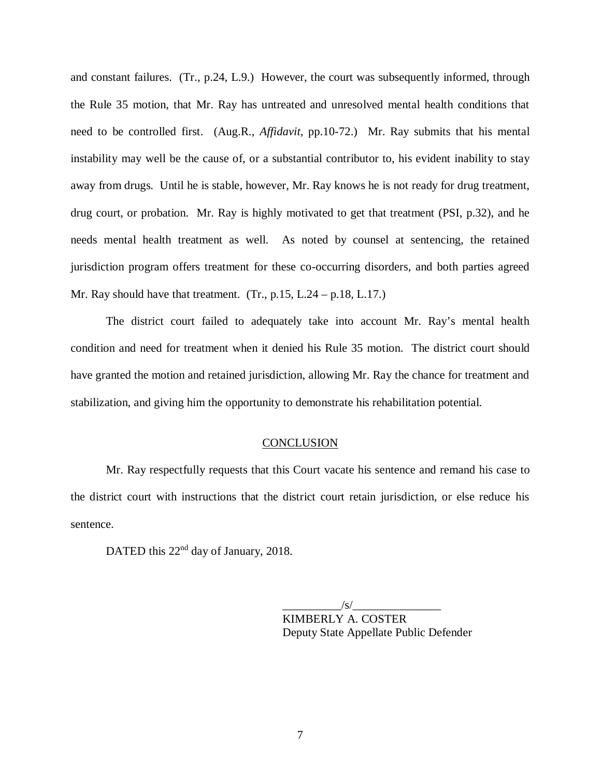and constant failures. (Tr., p.24, L.9.) However, the court was subsequently informed, through the Rule 35 motion, that Mr. Ray has untreated and unresolved mental health conditions that need to be controlled first. (Aug.R., *Affidavit,* pp.10-72.) Mr. Ray submits that his mental instability may well be the cause of, or a substantial contributor to, his evident inability to stay away from drugs. Until he is stable, however, Mr. Ray knows he is not ready for drug treatment, drug court, or probation. Mr. Ray is highly motivated to get that treatment (PSI, p.32), and he needs mental health treatment as well. As noted by counsel at sentencing, the retained jurisdiction program offers treatment for these co-occurring disorders, and both parties agreed Mr. Ray should have that treatment.  $(Tr, p.15, L.24 - p.18, L.17.)$ 

The district court failed to adequately take into account Mr. Ray's mental health condition and need for treatment when it denied his Rule 35 motion. The district court should have granted the motion and retained jurisdiction, allowing Mr. Ray the chance for treatment and stabilization, and giving him the opportunity to demonstrate his rehabilitation potential.

#### **CONCLUSION**

Mr. Ray respectfully requests that this Court vacate his sentence and remand his case to the district court with instructions that the district court retain jurisdiction, or else reduce his sentence.

DATED this 22<sup>nd</sup> day of January, 2018.

 $\frac{1}{s}$ 

KIMBERLY A. COSTER Deputy State Appellate Public Defender